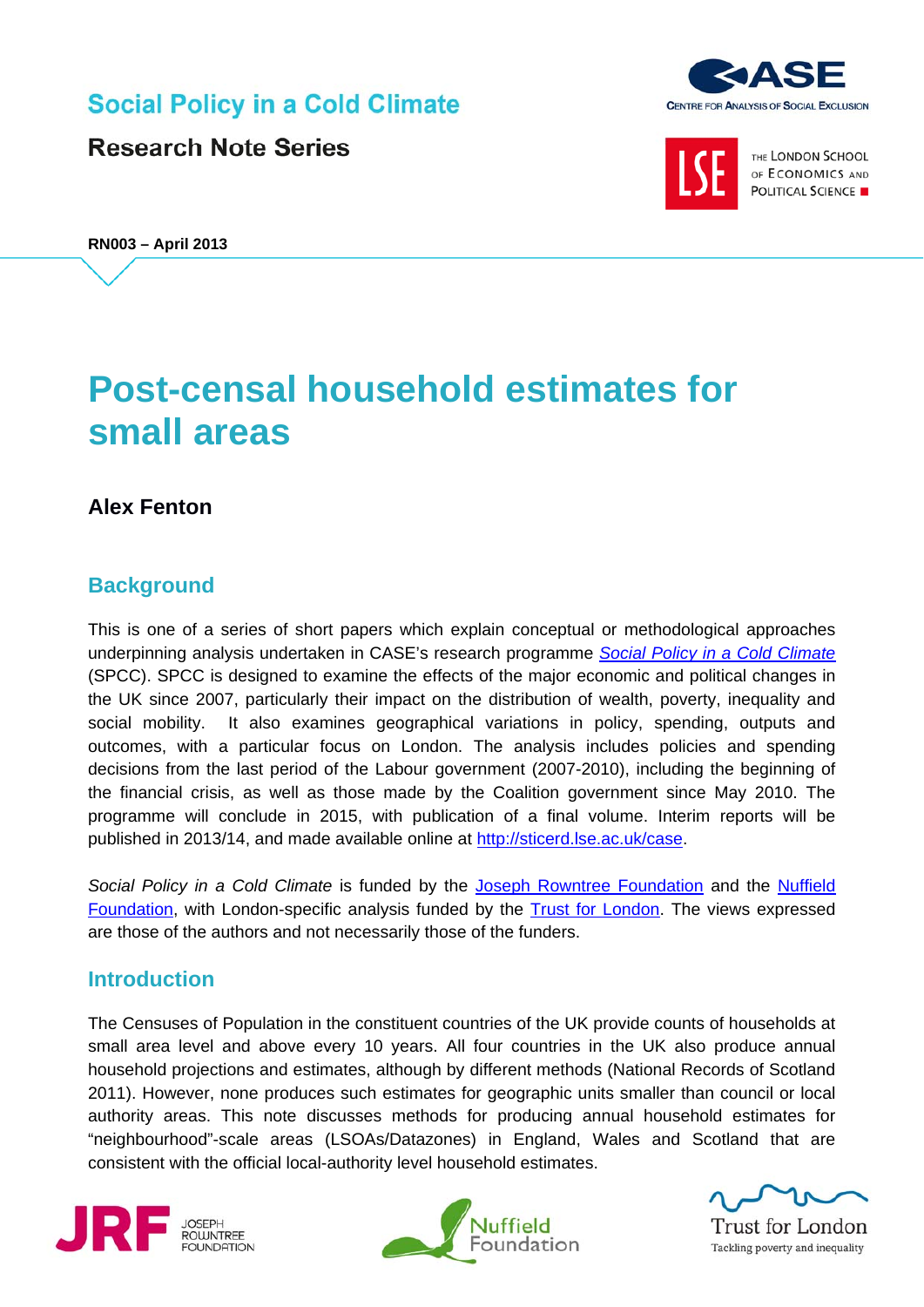**Social Policy in a Cold Climate** 

**Research Note Series** 





THE LONDON SCHOOL OF ECONOMICS AND POLITICAL SCIENCE

**RN003 – April 2013**

# **Post-censal household estimates for small areas**

# **Alex Fenton**

# **Background**

This is one of a series of short papers which explain conceptual or methodological approaches underpinning analysis undertaken in CASE's research programme *[Social Policy in a Cold Climate](http://sticerd.lse.ac.uk/case/_new/research/Social_Policy_in_a_Cold_Climate.asp)* (SPCC). SPCC is designed to examine the effects of the major economic and political changes in the UK since 2007, particularly their impact on the distribution of wealth, poverty, inequality and social mobility. It also examines geographical variations in policy, spending, outputs and outcomes, with a particular focus on London. The analysis includes policies and spending decisions from the last period of the Labour government (2007-2010), including the beginning of the financial crisis, as well as those made by the Coalition government since May 2010. The programme will conclude in 2015, with publication of a final volume. Interim reports will be published in 2013/14, and made available online at [http://sticerd.lse.ac.uk/case.](http://sticerd.lse.ac.uk/case)

*Social Policy in a Cold Climate* is funded by the [Joseph Rowntree Foundation](http://www.jrf.org.uk/) and the [Nuffield](http://www.nuffieldfoundation.org/)  [Foundation,](http://www.nuffieldfoundation.org/) with London-specific analysis funded by the [Trust for London.](http://www.trustforlondon.org.uk/) The views expressed are those of the authors and not necessarily those of the funders.

# **Introduction**

The Censuses of Population in the constituent countries of the UK provide counts of households at small area level and above every 10 years. All four countries in the UK also produce annual household projections and estimates, although by different methods (National Records of Scotland 2011). However, none produces such estimates for geographic units smaller than council or local authority areas. This note discusses methods for producing annual household estimates for "neighbourhood"-scale areas (LSOAs/Datazones) in England, Wales and Scotland that are consistent with the official local-authority level household estimates.







**Trust for London** Tackling poverty and inequality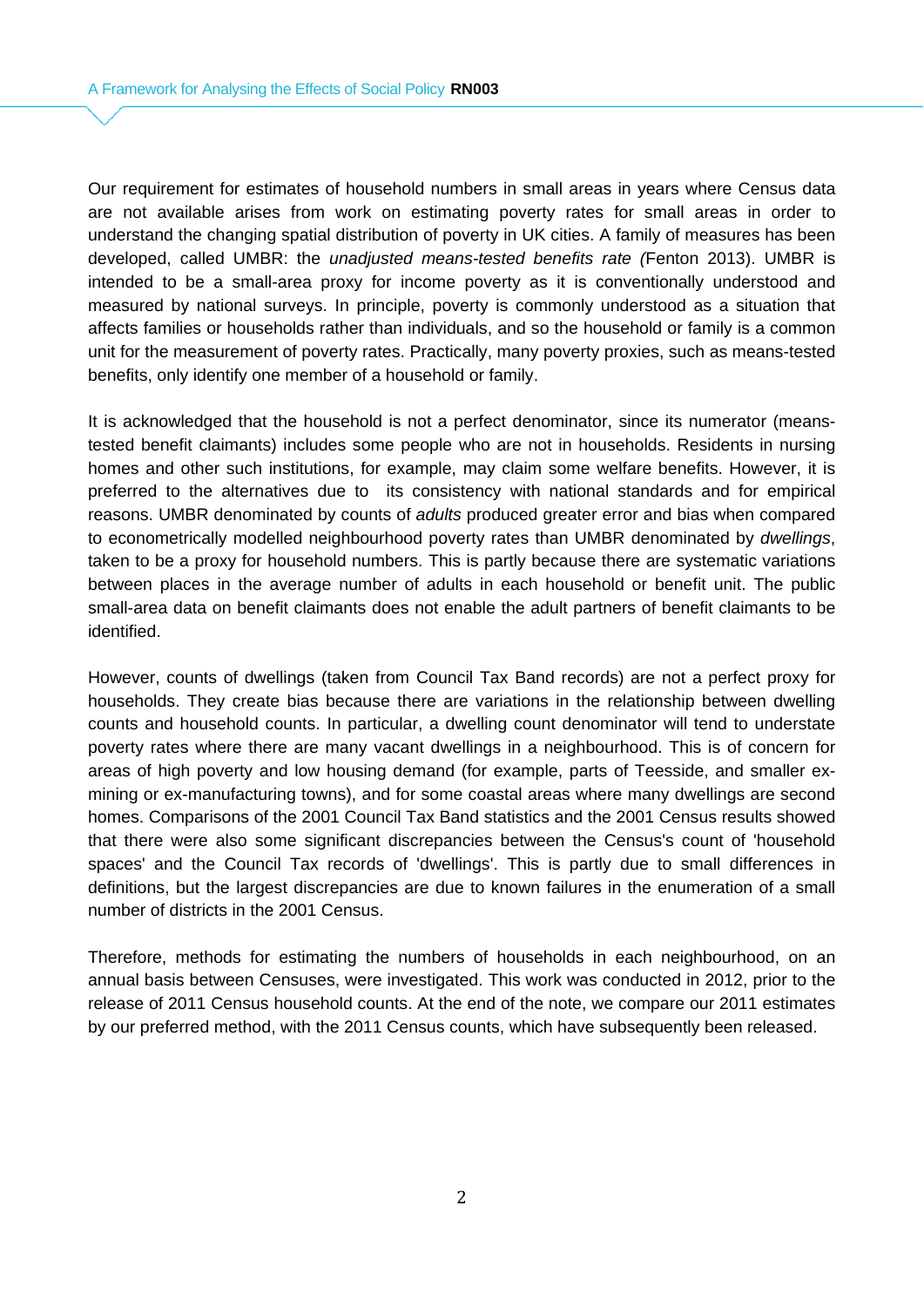Our requirement for estimates of household numbers in small areas in years where Census data are not available arises from work on estimating poverty rates for small areas in order to understand the changing spatial distribution of poverty in UK cities. A family of measures has been developed, called UMBR: the *unadjusted means-tested benefits rate (*Fenton 2013). UMBR is intended to be a small-area proxy for income poverty as it is conventionally understood and measured by national surveys. In principle, poverty is commonly understood as a situation that affects families or households rather than individuals, and so the household or family is a common unit for the measurement of poverty rates. Practically, many poverty proxies, such as means-tested benefits, only identify one member of a household or family.

It is acknowledged that the household is not a perfect denominator, since its numerator (meanstested benefit claimants) includes some people who are not in households. Residents in nursing homes and other such institutions, for example, may claim some welfare benefits. However, it is preferred to the alternatives due to its consistency with national standards and for empirical reasons. UMBR denominated by counts of *adults* produced greater error and bias when compared to econometrically modelled neighbourhood poverty rates than UMBR denominated by *dwellings*, taken to be a proxy for household numbers. This is partly because there are systematic variations between places in the average number of adults in each household or benefit unit. The public small-area data on benefit claimants does not enable the adult partners of benefit claimants to be identified.

However, counts of dwellings (taken from Council Tax Band records) are not a perfect proxy for households. They create bias because there are variations in the relationship between dwelling counts and household counts. In particular, a dwelling count denominator will tend to understate poverty rates where there are many vacant dwellings in a neighbourhood. This is of concern for areas of high poverty and low housing demand (for example, parts of Teesside, and smaller exmining or ex-manufacturing towns), and for some coastal areas where many dwellings are second homes. Comparisons of the 2001 Council Tax Band statistics and the 2001 Census results showed that there were also some significant discrepancies between the Census's count of 'household spaces' and the Council Tax records of 'dwellings'. This is partly due to small differences in definitions, but the largest discrepancies are due to known failures in the enumeration of a small number of districts in the 2001 Census.

Therefore, methods for estimating the numbers of households in each neighbourhood, on an annual basis between Censuses, were investigated. This work was conducted in 2012, prior to the release of 2011 Census household counts. At the end of the note, we compare our 2011 estimates by our preferred method, with the 2011 Census counts, which have subsequently been released.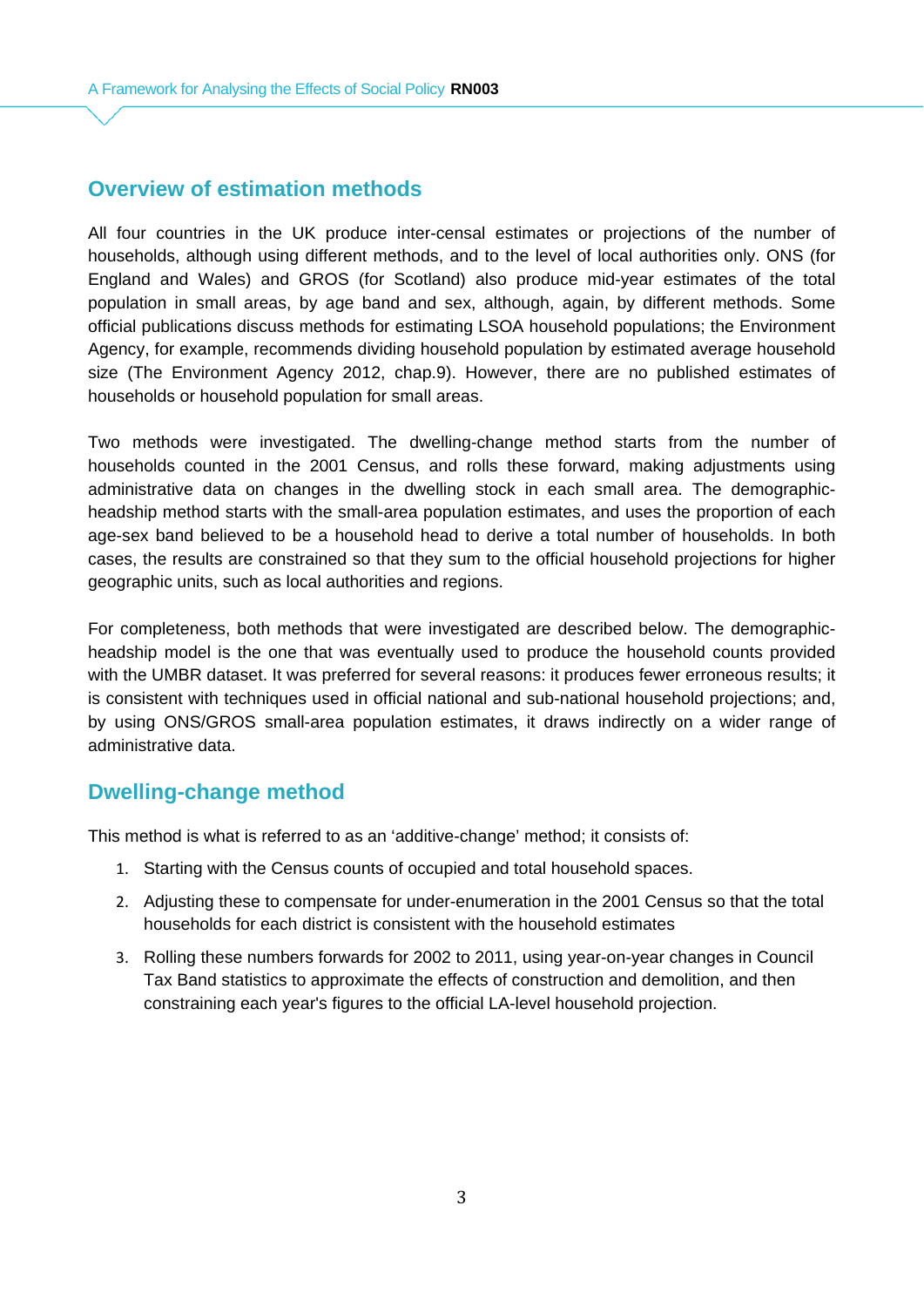### **Overview of estimation methods**

All four countries in the UK produce inter-censal estimates or projections of the number of households, although using different methods, and to the level of local authorities only. ONS (for England and Wales) and GROS (for Scotland) also produce mid-year estimates of the total population in small areas, by age band and sex, although, again, by different methods. Some official publications discuss methods for estimating LSOA household populations; the Environment Agency, for example, recommends dividing household population by estimated average household size (The Environment Agency 2012, chap.9). However, there are no published estimates of households or household population for small areas.

Two methods were investigated. The dwelling-change method starts from the number of households counted in the 2001 Census, and rolls these forward, making adjustments using administrative data on changes in the dwelling stock in each small area. The demographicheadship method starts with the small-area population estimates, and uses the proportion of each age-sex band believed to be a household head to derive a total number of households. In both cases, the results are constrained so that they sum to the official household projections for higher geographic units, such as local authorities and regions.

For completeness, both methods that were investigated are described below. The demographicheadship model is the one that was eventually used to produce the household counts provided with the UMBR dataset. It was preferred for several reasons: it produces fewer erroneous results; it is consistent with techniques used in official national and sub-national household projections; and, by using ONS/GROS small-area population estimates, it draws indirectly on a wider range of administrative data.

# **Dwelling-change method**

This method is what is referred to as an 'additive-change' method; it consists of:

- 1. Starting with the Census counts of occupied and total household spaces.
- 2. Adjusting these to compensate for under-enumeration in the 2001 Census so that the total households for each district is consistent with the household estimates
- 3. Rolling these numbers forwards for 2002 to 2011, using year-on-year changes in Council Tax Band statistics to approximate the effects of construction and demolition, and then constraining each year's figures to the official LA-level household projection.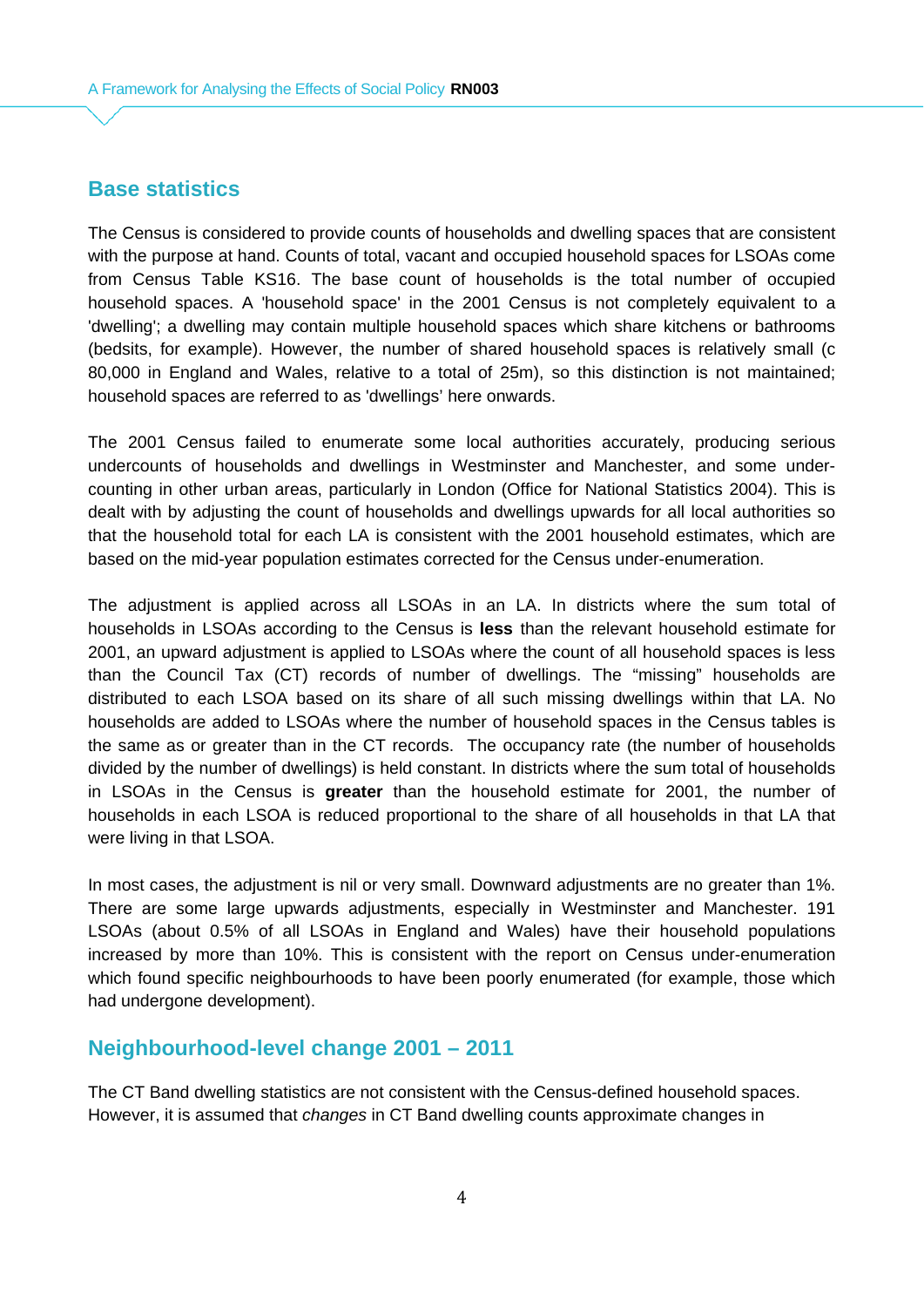### **Base statistics**

The Census is considered to provide counts of households and dwelling spaces that are consistent with the purpose at hand. Counts of total, vacant and occupied household spaces for LSOAs come from Census Table KS16. The base count of households is the total number of occupied household spaces. A 'household space' in the 2001 Census is not completely equivalent to a 'dwelling'; a dwelling may contain multiple household spaces which share kitchens or bathrooms (bedsits, for example). However, the number of shared household spaces is relatively small (c 80,000 in England and Wales, relative to a total of 25m), so this distinction is not maintained; household spaces are referred to as 'dwellings' here onwards.

The 2001 Census failed to enumerate some local authorities accurately, producing serious undercounts of households and dwellings in Westminster and Manchester, and some undercounting in other urban areas, particularly in London (Office for National Statistics 2004). This is dealt with by adjusting the count of households and dwellings upwards for all local authorities so that the household total for each LA is consistent with the 2001 household estimates, which are based on the mid-year population estimates corrected for the Census under-enumeration.

The adjustment is applied across all LSOAs in an LA. In districts where the sum total of households in LSOAs according to the Census is **less** than the relevant household estimate for 2001, an upward adjustment is applied to LSOAs where the count of all household spaces is less than the Council Tax (CT) records of number of dwellings. The "missing" households are distributed to each LSOA based on its share of all such missing dwellings within that LA. No households are added to LSOAs where the number of household spaces in the Census tables is the same as or greater than in the CT records. The occupancy rate (the number of households divided by the number of dwellings) is held constant. In districts where the sum total of households in LSOAs in the Census is **greater** than the household estimate for 2001, the number of households in each LSOA is reduced proportional to the share of all households in that LA that were living in that LSOA.

In most cases, the adjustment is nil or very small. Downward adjustments are no greater than 1%. There are some large upwards adjustments, especially in Westminster and Manchester. 191 LSOAs (about 0.5% of all LSOAs in England and Wales) have their household populations increased by more than 10%. This is consistent with the report on Census under-enumeration which found specific neighbourhoods to have been poorly enumerated (for example, those which had undergone development).

#### **Neighbourhood-level change 2001 – 2011**

The CT Band dwelling statistics are not consistent with the Census-defined household spaces. However, it is assumed that *changes* in CT Band dwelling counts approximate changes in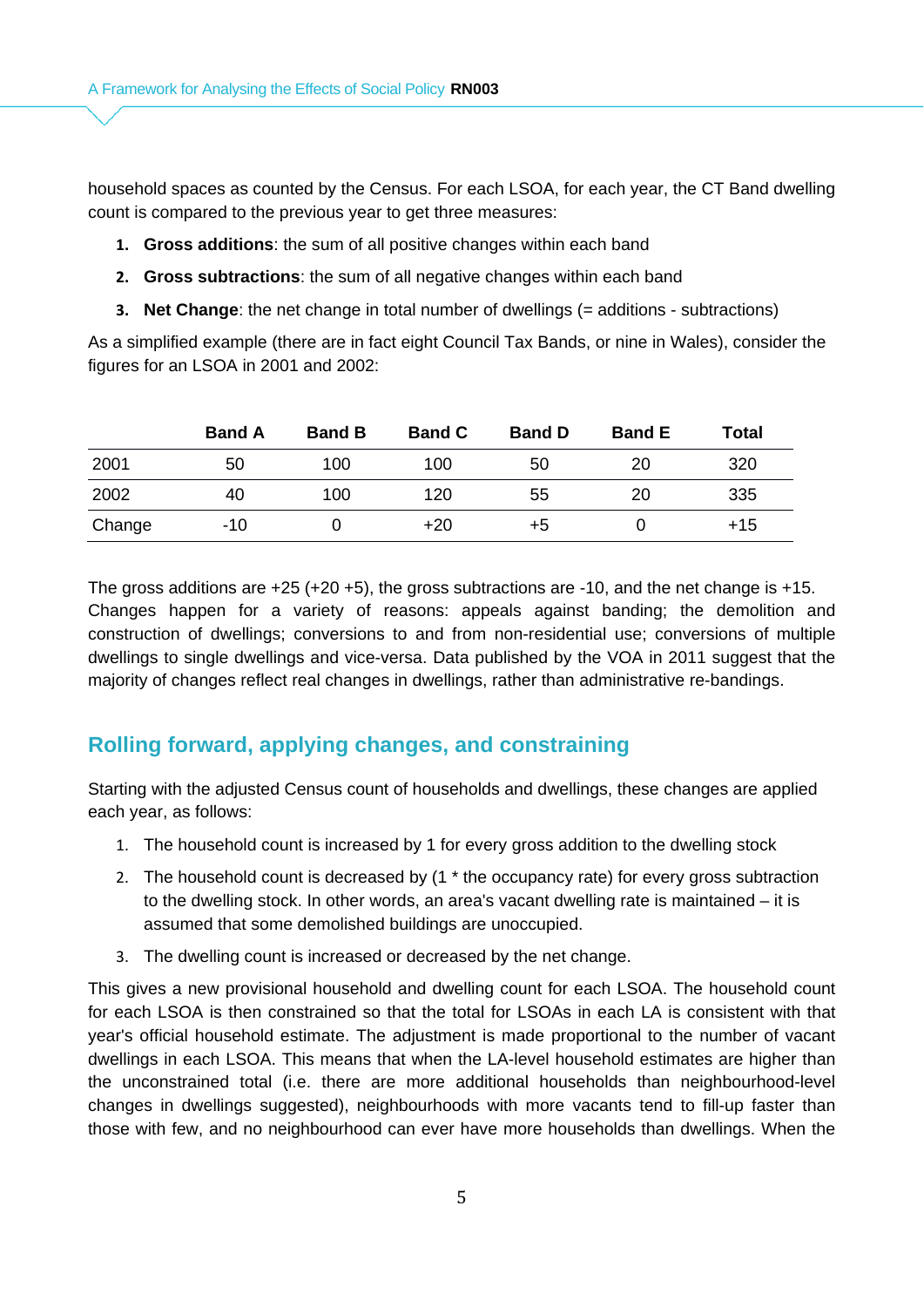household spaces as counted by the Census. For each LSOA, for each year, the CT Band dwelling count is compared to the previous year to get three measures:

- **1. Gross additions**: the sum of all positive changes within each band
- **2. Gross subtractions**: the sum of all negative changes within each band
- **3. Net Change**: the net change in total number of dwellings (= additions subtractions)

As a simplified example (there are in fact eight Council Tax Bands, or nine in Wales), consider the figures for an LSOA in 2001 and 2002:

|        | <b>Band A</b> | <b>Band B</b> | <b>Band C</b> | <b>Band D</b> | <b>Band E</b> | Total |
|--------|---------------|---------------|---------------|---------------|---------------|-------|
| 2001   | 50            | 100           | 100           | 50            | 20            | 320   |
| 2002   | 40            | 100           | 120           | 55            | 20            | 335   |
| Change | -10           |               | $+20$         | $+5$          |               | $+15$ |

The gross additions are +25 (+20 +5), the gross subtractions are -10, and the net change is +15. Changes happen for a variety of reasons: appeals against banding; the demolition and construction of dwellings; conversions to and from non-residential use; conversions of multiple dwellings to single dwellings and vice-versa. Data published by the VOA in 2011 suggest that the majority of changes reflect real changes in dwellings, rather than administrative re-bandings.

#### **Rolling forward, applying changes, and constraining**

Starting with the adjusted Census count of households and dwellings, these changes are applied each year, as follows:

- 1. The household count is increased by 1 for every gross addition to the dwelling stock
- 2. The household count is decreased by (1 \* the occupancy rate) for every gross subtraction to the dwelling stock. In other words, an area's vacant dwelling rate is maintained – it is assumed that some demolished buildings are unoccupied.
- 3. The dwelling count is increased or decreased by the net change.

This gives a new provisional household and dwelling count for each LSOA. The household count for each LSOA is then constrained so that the total for LSOAs in each LA is consistent with that year's official household estimate. The adjustment is made proportional to the number of vacant dwellings in each LSOA. This means that when the LA-level household estimates are higher than the unconstrained total (i.e. there are more additional households than neighbourhood-level changes in dwellings suggested), neighbourhoods with more vacants tend to fill-up faster than those with few, and no neighbourhood can ever have more households than dwellings. When the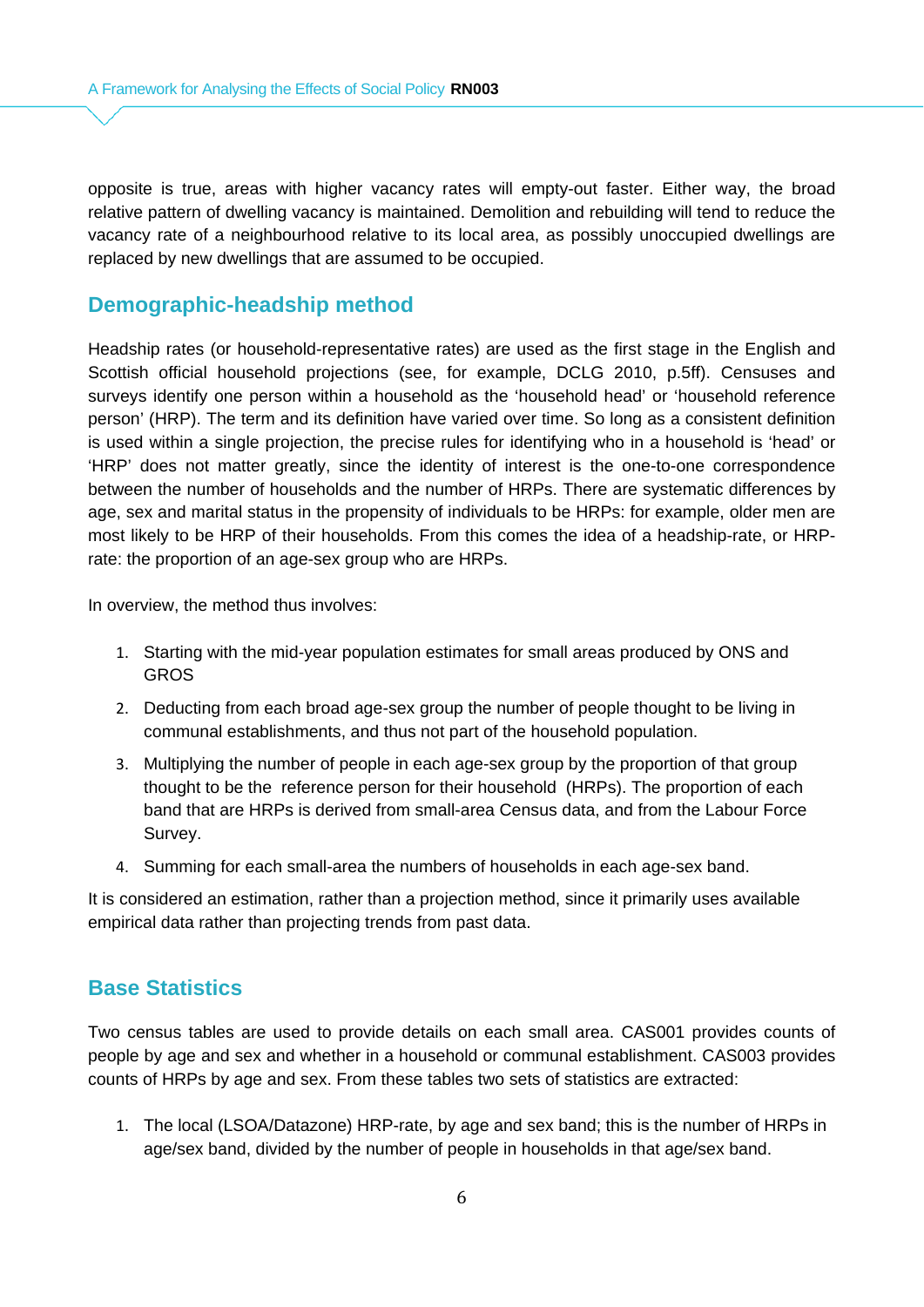opposite is true, areas with higher vacancy rates will empty-out faster. Either way, the broad relative pattern of dwelling vacancy is maintained. Demolition and rebuilding will tend to reduce the vacancy rate of a neighbourhood relative to its local area, as possibly unoccupied dwellings are replaced by new dwellings that are assumed to be occupied.

#### **Demographic-headship method**

Headship rates (or household-representative rates) are used as the first stage in the English and Scottish official household projections (see, for example, DCLG 2010, p.5ff). Censuses and surveys identify one person within a household as the 'household head' or 'household reference person' (HRP). The term and its definition have varied over time. So long as a consistent definition is used within a single projection, the precise rules for identifying who in a household is 'head' or 'HRP' does not matter greatly, since the identity of interest is the one-to-one correspondence between the number of households and the number of HRPs. There are systematic differences by age, sex and marital status in the propensity of individuals to be HRPs: for example, older men are most likely to be HRP of their households. From this comes the idea of a headship-rate, or HRPrate: the proportion of an age-sex group who are HRPs.

In overview, the method thus involves:

- 1. Starting with the mid-year population estimates for small areas produced by ONS and GROS
- 2. Deducting from each broad age-sex group the number of people thought to be living in communal establishments, and thus not part of the household population.
- 3. Multiplying the number of people in each age-sex group by the proportion of that group thought to be the reference person for their household (HRPs). The proportion of each band that are HRPs is derived from small-area Census data, and from the Labour Force Survey.
- 4. Summing for each small-area the numbers of households in each age-sex band.

It is considered an estimation, rather than a projection method, since it primarily uses available empirical data rather than projecting trends from past data.

#### **Base Statistics**

Two census tables are used to provide details on each small area. CAS001 provides counts of people by age and sex and whether in a household or communal establishment. CAS003 provides counts of HRPs by age and sex. From these tables two sets of statistics are extracted:

1. The local (LSOA/Datazone) HRP-rate, by age and sex band; this is the number of HRPs in age/sex band, divided by the number of people in households in that age/sex band.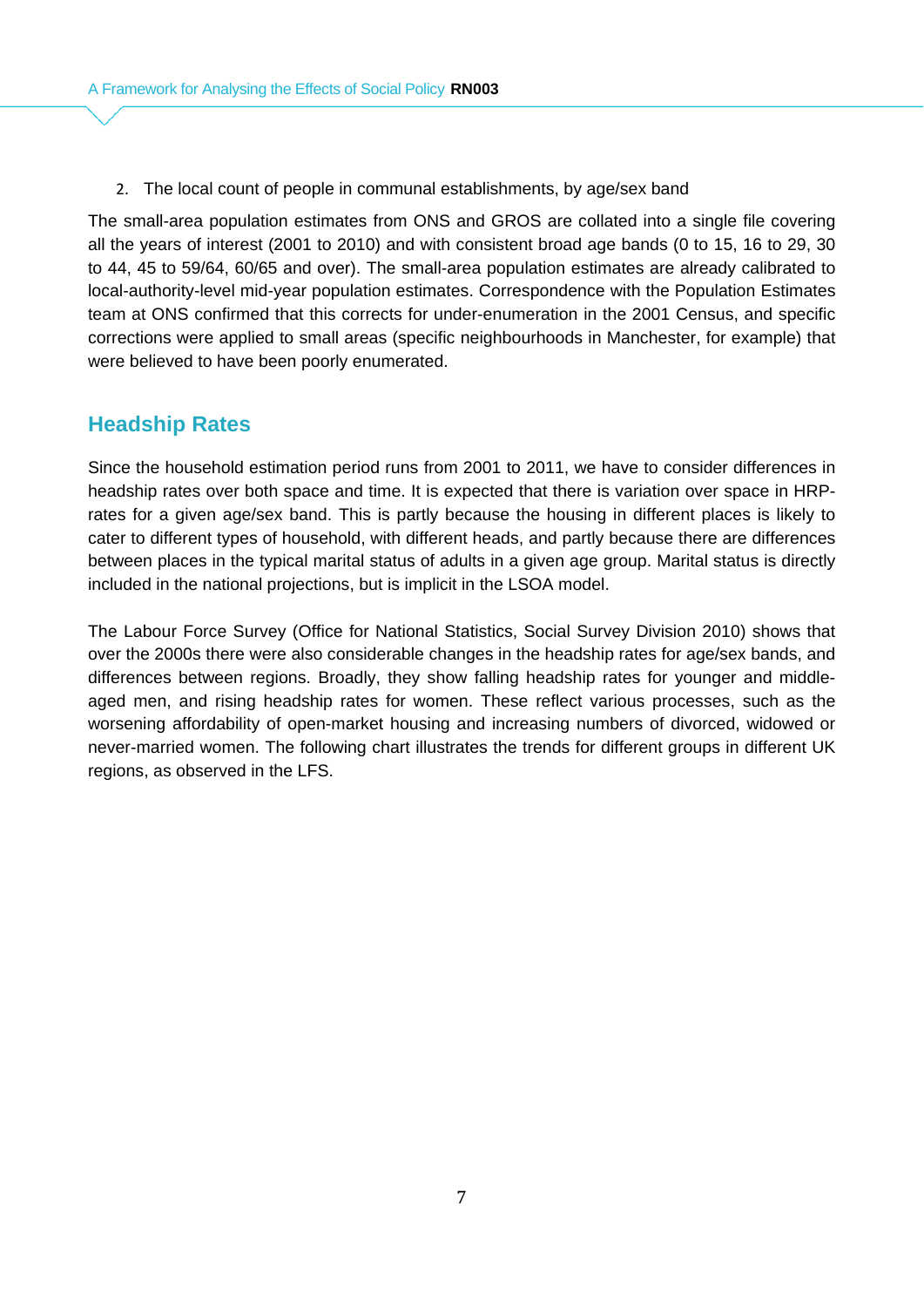2. The local count of people in communal establishments, by age/sex band

The small-area population estimates from ONS and GROS are collated into a single file covering all the years of interest (2001 to 2010) and with consistent broad age bands (0 to 15, 16 to 29, 30 to 44, 45 to 59/64, 60/65 and over). The small-area population estimates are already calibrated to local-authority-level mid-year population estimates. Correspondence with the Population Estimates team at ONS confirmed that this corrects for under-enumeration in the 2001 Census, and specific corrections were applied to small areas (specific neighbourhoods in Manchester, for example) that were believed to have been poorly enumerated.

# **Headship Rates**

Since the household estimation period runs from 2001 to 2011, we have to consider differences in headship rates over both space and time. It is expected that there is variation over space in HRPrates for a given age/sex band. This is partly because the housing in different places is likely to cater to different types of household, with different heads, and partly because there are differences between places in the typical marital status of adults in a given age group. Marital status is directly included in the national projections, but is implicit in the LSOA model.

The Labour Force Survey (Office for National Statistics, Social Survey Division 2010) shows that over the 2000s there were also considerable changes in the headship rates for age/sex bands, and differences between regions. Broadly, they show falling headship rates for younger and middleaged men, and rising headship rates for women. These reflect various processes, such as the worsening affordability of open-market housing and increasing numbers of divorced, widowed or never-married women. The following chart illustrates the trends for different groups in different UK regions, as observed in the LFS.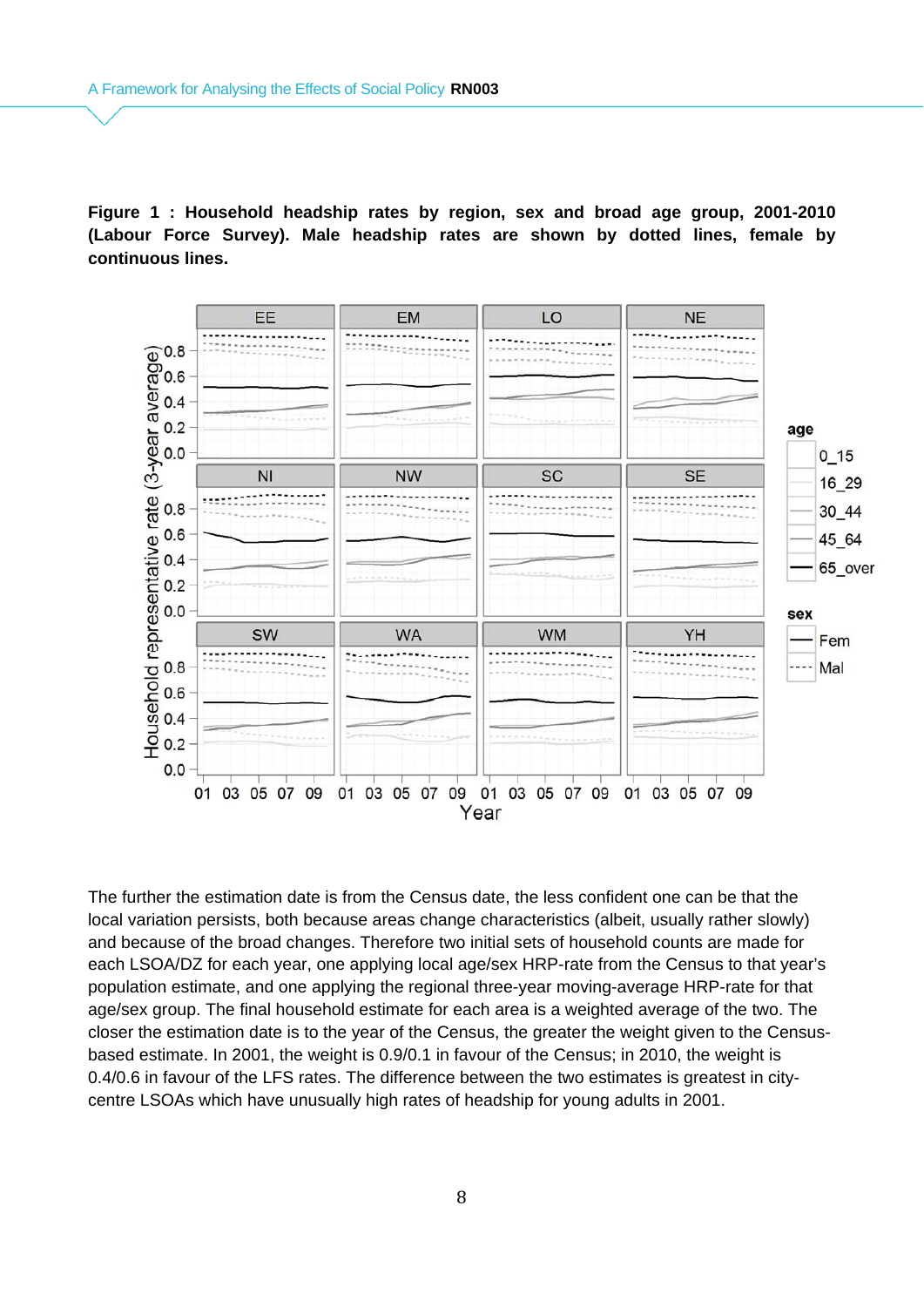**Figure 1 : Household headship rates by region, sex and broad age group, 2001-2010 (Labour Force Survey). Male headship rates are shown by dotted lines, female by continuous lines.**



The further the estimation date is from the Census date, the less confident one can be that the local variation persists, both because areas change characteristics (albeit, usually rather slowly) and because of the broad changes. Therefore two initial sets of household counts are made for each LSOA/DZ for each year, one applying local age/sex HRP-rate from the Census to that year's population estimate, and one applying the regional three-year moving-average HRP-rate for that age/sex group. The final household estimate for each area is a weighted average of the two. The closer the estimation date is to the year of the Census, the greater the weight given to the Censusbased estimate. In 2001, the weight is 0.9/0.1 in favour of the Census; in 2010, the weight is 0.4/0.6 in favour of the LFS rates. The difference between the two estimates is greatest in citycentre LSOAs which have unusually high rates of headship for young adults in 2001.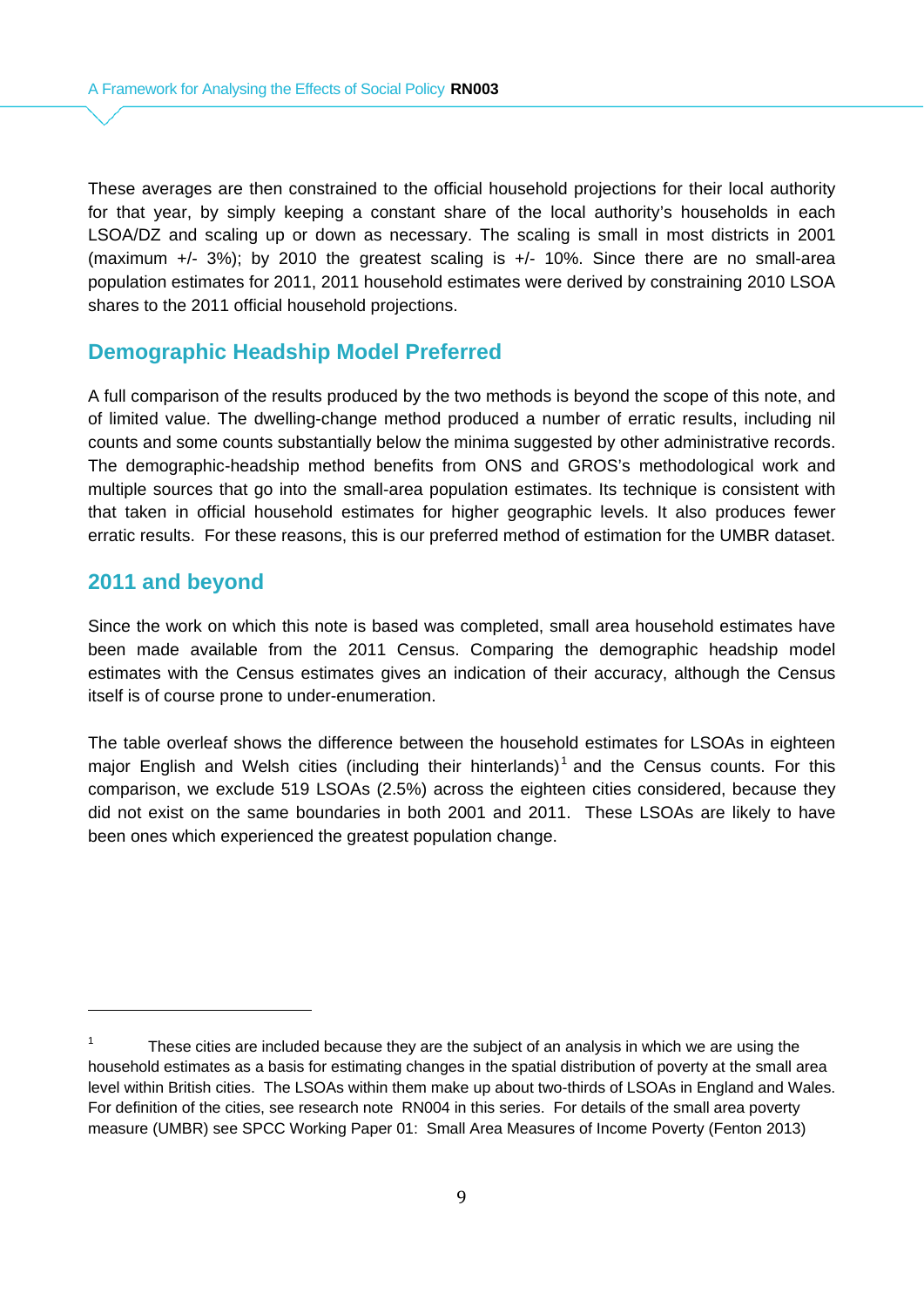These averages are then constrained to the official household projections for their local authority for that year, by simply keeping a constant share of the local authority's households in each LSOA/DZ and scaling up or down as necessary. The scaling is small in most districts in 2001 (maximum +/- 3%); by 2010 the greatest scaling is +/- 10%. Since there are no small-area population estimates for 2011, 2011 household estimates were derived by constraining 2010 LSOA shares to the 2011 official household projections.

#### **Demographic Headship Model Preferred**

A full comparison of the results produced by the two methods is beyond the scope of this note, and of limited value. The dwelling-change method produced a number of erratic results, including nil counts and some counts substantially below the minima suggested by other administrative records. The demographic-headship method benefits from ONS and GROS's methodological work and multiple sources that go into the small-area population estimates. Its technique is consistent with that taken in official household estimates for higher geographic levels. It also produces fewer erratic results. For these reasons, this is our preferred method of estimation for the UMBR dataset.

#### **2011 and beyond**

Since the work on which this note is based was completed, small area household estimates have been made available from the 2011 Census. Comparing the demographic headship model estimates with the Census estimates gives an indication of their accuracy, although the Census itself is of course prone to under-enumeration.

The table overleaf shows the difference between the household estimates for LSOAs in eighteen major English and Welsh cities (including their hinterlands)<sup>1</sup> and the Census counts. For this comparison, we exclude 519 LSOAs (2.5%) across the eighteen cities considered, because they did not exist on the same boundaries in both 2001 and 2011. These LSOAs are likely to have been ones which experienced the greatest population change.

These cities are included because they are the subject of an analysis in which we are using the household estimates as a basis for estimating changes in the spatial distribution of poverty at the small area level within British cities. The LSOAs within them make up about two-thirds of LSOAs in England and Wales. For definition of the cities, see research note RN004 in this series. For details of the small area poverty measure (UMBR) see SPCC Working Paper 01: Small Area Measures of Income Poverty (Fenton 2013)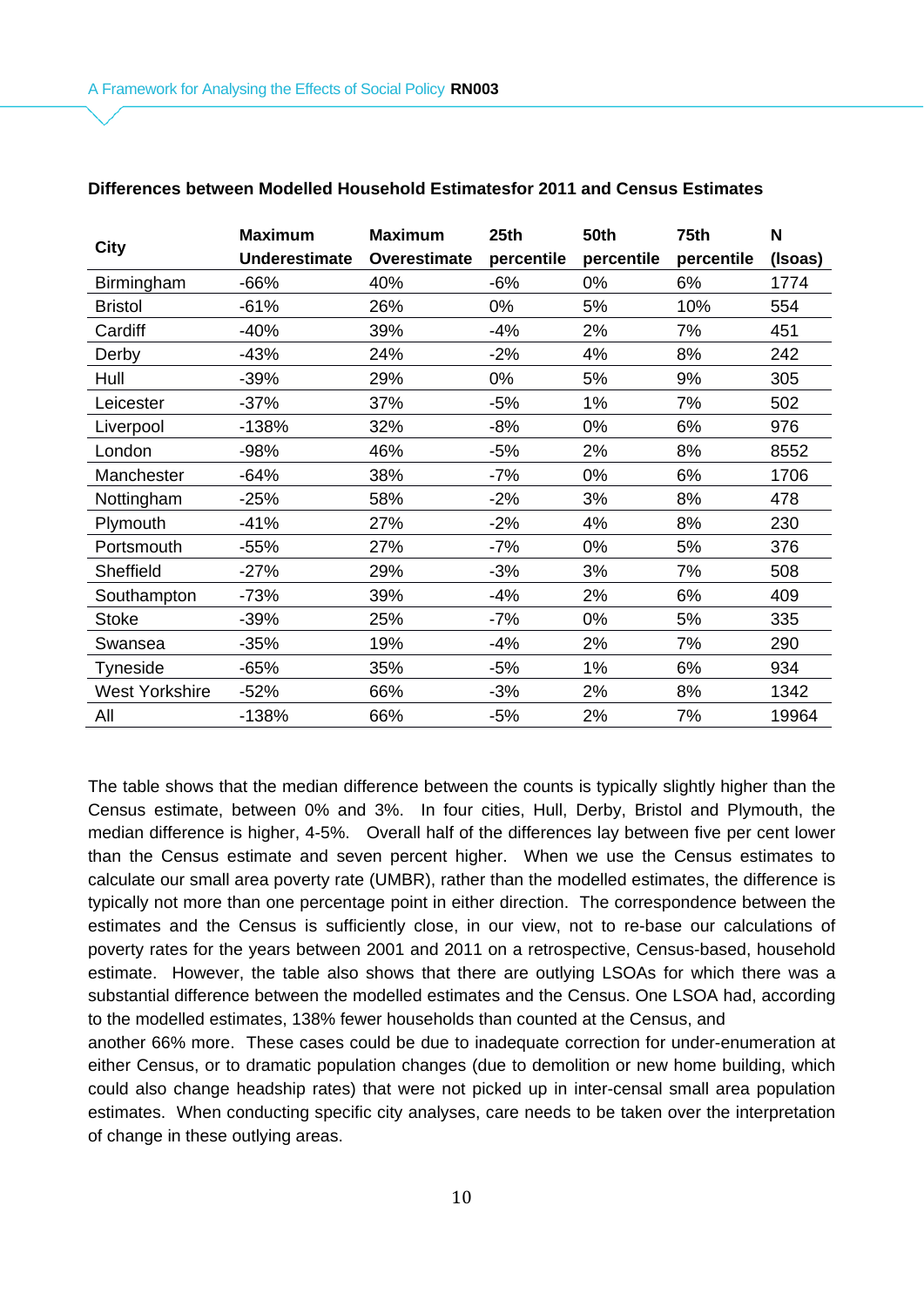|                       | <b>Maximum</b>       | <b>Maximum</b> | 25th       | <b>50th</b> | 75th       | N       |
|-----------------------|----------------------|----------------|------------|-------------|------------|---------|
| <b>City</b>           | <b>Underestimate</b> | Overestimate   | percentile | percentile  | percentile | (Isoas) |
| Birmingham            | $-66%$               | 40%            | $-6%$      | 0%          | 6%         | 1774    |
| <b>Bristol</b>        | $-61%$               | 26%            | 0%         | 5%          | 10%        | 554     |
| Cardiff               | $-40%$               | 39%            | $-4%$      | 2%          | 7%         | 451     |
| Derby                 | $-43%$               | 24%            | $-2%$      | 4%          | 8%         | 242     |
| Hull                  | $-39%$               | 29%            | 0%         | 5%          | 9%         | 305     |
| Leicester             | $-37%$               | 37%            | $-5%$      | 1%          | 7%         | 502     |
| Liverpool             | $-138%$              | 32%            | $-8%$      | 0%          | 6%         | 976     |
| London                | -98%                 | 46%            | $-5%$      | 2%          | 8%         | 8552    |
| Manchester            | $-64%$               | 38%            | $-7%$      | 0%          | 6%         | 1706    |
| Nottingham            | $-25%$               | 58%            | $-2%$      | 3%          | 8%         | 478     |
| Plymouth              | $-41%$               | 27%            | $-2%$      | 4%          | 8%         | 230     |
| Portsmouth            | $-55%$               | 27%            | $-7%$      | 0%          | 5%         | 376     |
| Sheffield             | $-27%$               | 29%            | $-3%$      | 3%          | 7%         | 508     |
| Southampton           | $-73%$               | 39%            | $-4%$      | 2%          | 6%         | 409     |
| Stoke                 | $-39%$               | 25%            | $-7%$      | 0%          | 5%         | 335     |
| Swansea               | $-35%$               | 19%            | $-4%$      | 2%          | 7%         | 290     |
| Tyneside              | $-65%$               | 35%            | $-5%$      | 1%          | 6%         | 934     |
| <b>West Yorkshire</b> | $-52%$               | 66%            | $-3%$      | 2%          | 8%         | 1342    |
| All                   | $-138%$              | 66%            | $-5%$      | 2%          | 7%         | 19964   |

#### **Differences between Modelled Household Estimatesfor 2011 and Census Estimates**

The table shows that the median difference between the counts is typically slightly higher than the Census estimate, between 0% and 3%. In four cities, Hull, Derby, Bristol and Plymouth, the median difference is higher, 4-5%. Overall half of the differences lay between five per cent lower than the Census estimate and seven percent higher. When we use the Census estimates to calculate our small area poverty rate (UMBR), rather than the modelled estimates, the difference is typically not more than one percentage point in either direction. The correspondence between the estimates and the Census is sufficiently close, in our view, not to re-base our calculations of poverty rates for the years between 2001 and 2011 on a retrospective, Census-based, household estimate. However, the table also shows that there are outlying LSOAs for which there was a substantial difference between the modelled estimates and the Census. One LSOA had, according to the modelled estimates, 138% fewer households than counted at the Census, and

another 66% more. These cases could be due to inadequate correction for under-enumeration at either Census, or to dramatic population changes (due to demolition or new home building, which could also change headship rates) that were not picked up in inter-censal small area population estimates. When conducting specific city analyses, care needs to be taken over the interpretation of change in these outlying areas.